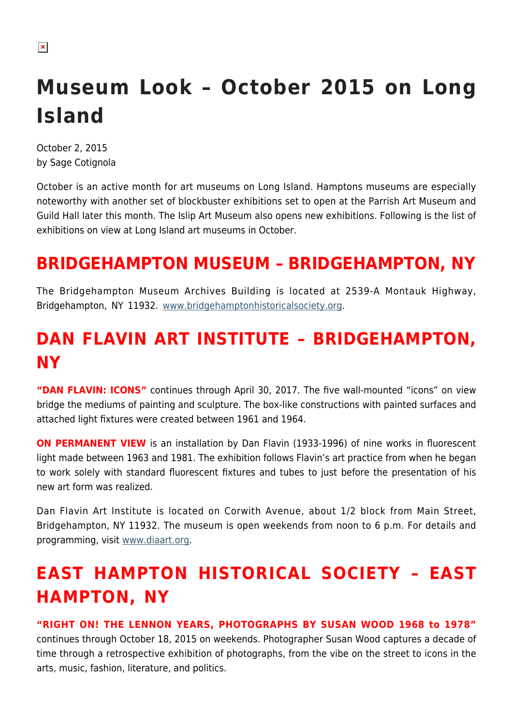#### $\pmb{\times}$

# **Museum Look – October 2015 on Long Island**

October 2, 2015 by Sage Cotignola

October is an active month for art museums on Long Island. Hamptons museums are especially noteworthy with another set of blockbuster exhibitions set to open at the Parrish Art Museum and Guild Hall later this month. The Islip Art Museum also opens new exhibitions. Following is the list of exhibitions on view at Long Island art museums in October.

# **BRIDGEHAMPTON MUSEUM – BRIDGEHAMPTON, NY**

The Bridgehampton Museum Archives Building is located at 2539-A Montauk Highway, Bridgehampton, NY 11932. [www.bridgehamptonhistoricalsociety.org](http://www.bridgehamptonhistoricalsociety.org).

# **DAN FLAVIN ART INSTITUTE – BRIDGEHAMPTON, NY**

**"DAN FLAVIN: ICONS"** continues through April 30, 2017. The five wall-mounted "icons" on view bridge the mediums of painting and sculpture. The box-like constructions with painted surfaces and attached light fixtures were created between 1961 and 1964.

**ON PERMANENT VIEW** is an installation by Dan Flavin (1933-1996) of nine works in fluorescent light made between 1963 and 1981. The exhibition follows Flavin's art practice from when he began to work solely with standard fluorescent fixtures and tubes to just before the presentation of his new art form was realized.

Dan Flavin Art Institute is located on Corwith Avenue, about 1/2 block from Main Street, Bridgehampton, NY 11932. The museum is open weekends from noon to 6 p.m. For details and programming, visit [www.diaart.org.](http://www.diaart.org)

# **EAST HAMPTON HISTORICAL SOCIETY – EAST HAMPTON, NY**

**"RIGHT ON! THE LENNON YEARS, PHOTOGRAPHS BY SUSAN WOOD 1968 to 1978"** continues through October 18, 2015 on weekends. Photographer Susan Wood captures a decade of time through a retrospective exhibition of photographs, from the vibe on the street to icons in the arts, music, fashion, literature, and politics.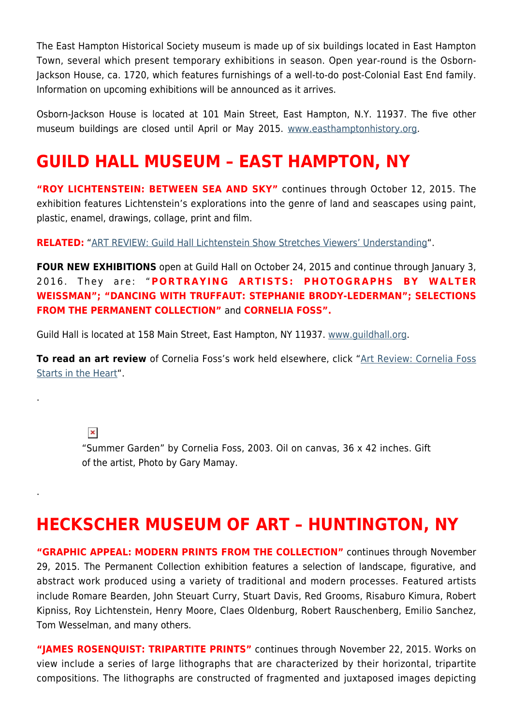The East Hampton Historical Society museum is made up of six buildings located in East Hampton Town, several which present temporary exhibitions in season. Open year-round is the Osborn-Jackson House, ca. 1720, which features furnishings of a well-to-do post-Colonial East End family. Information on upcoming exhibitions will be announced as it arrives.

Osborn-Jackson House is located at 101 Main Street, East Hampton, N.Y. 11937. The five other museum buildings are closed until April or May 2015. [www.easthamptonhistory.org](http://www.easthamptonhistory.org).

### **GUILD HALL MUSEUM – EAST HAMPTON, NY**

**"ROY LICHTENSTEIN: BETWEEN SEA AND SKY"** continues through October 12, 2015. The exhibition features Lichtenstein's explorations into the genre of land and seascapes using paint, plastic, enamel, drawings, collage, print and film.

**RELATED:** ["ART REVIEW: Guild Hall Lichtenstein Show Stretches Viewers' Understanding](https://hamptonsarthub.com/2015/08/24/guild-hall-lichtenstein-show-stretches-viewers-understanding/)".

**FOUR NEW EXHIBITIONS** open at Guild Hall on October 24, 2015 and continue through January 3, 2016. They are: "**PORTRAYING ARTISTS: PHOTOGRAPHS BY WALTER WEISSMAN"; "DANCING WITH TRUFFAUT: STEPHANIE BRODY-LEDERMAN"; SELECTIONS FROM THE PERMANENT COLLECTION"** and **CORNELIA FOSS".** 

Guild Hall is located at 158 Main Street, East Hampton, NY 11937. [www.guildhall.org](http://www.guildhall.org).

**To read an art review** of Cornelia Foss's work held elsewhere, click "[Art Review: Cornelia Foss](https://hamptonsarthub.com/2013/07/03/art-review-cornelia-foss-starts-in-the-heart/) [Starts in the Heart](https://hamptonsarthub.com/2013/07/03/art-review-cornelia-foss-starts-in-the-heart/)".

 $\pmb{\times}$ 

.

.

"Summer Garden" by Cornelia Foss, 2003. Oil on canvas, 36 x 42 inches. Gift of the artist, Photo by Gary Mamay.

### **HECKSCHER MUSEUM OF ART – HUNTINGTON, NY**

**"GRAPHIC APPEAL: MODERN PRINTS FROM THE COLLECTION"** continues through November 29, 2015. The Permanent Collection exhibition features a selection of landscape, figurative, and abstract work produced using a variety of traditional and modern processes. Featured artists include Romare Bearden, John Steuart Curry, Stuart Davis, Red Grooms, Risaburo Kimura, Robert Kipniss, Roy Lichtenstein, Henry Moore, Claes Oldenburg, Robert Rauschenberg, Emilio Sanchez, Tom Wesselman, and many others.

**"JAMES ROSENQUIST: TRIPARTITE PRINTS"** continues through November 22, 2015. Works on view include a series of large lithographs that are characterized by their horizontal, tripartite compositions. The lithographs are constructed of fragmented and juxtaposed images depicting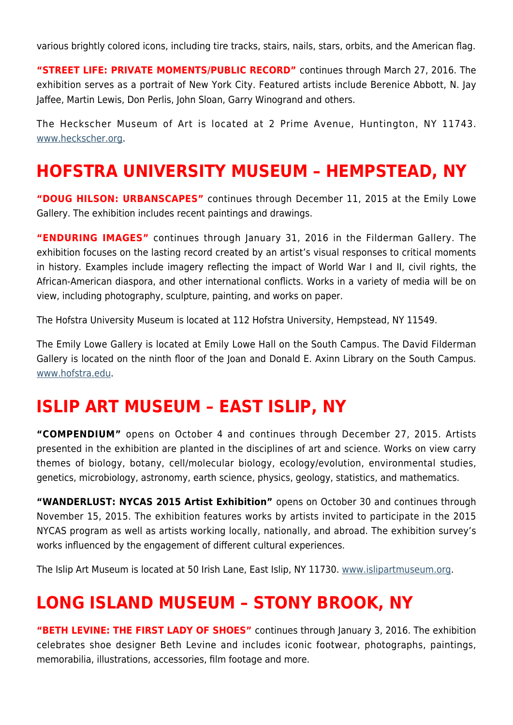various brightly colored icons, including tire tracks, stairs, nails, stars, orbits, and the American flag.

**"STREET LIFE: PRIVATE MOMENTS/PUBLIC RECORD"** continues through March 27, 2016. The exhibition serves as a portrait of New York City. Featured artists include Berenice Abbott, N. Jay Jaffee, Martin Lewis, Don Perlis, John Sloan, Garry Winogrand and others.

The Heckscher Museum of Art is located at 2 Prime Avenue, Huntington, NY 11743. [www.heckscher.org](http://www.heckscher.org).

#### **HOFSTRA UNIVERSITY MUSEUM – HEMPSTEAD, NY**

**"DOUG HILSON: URBANSCAPES"** continues through December 11, 2015 at the Emily Lowe Gallery. The exhibition includes recent paintings and drawings.

**"ENDURING IMAGES"** continues through January 31, 2016 in the Filderman Gallery. The exhibition focuses on the lasting record created by an artist's visual responses to critical moments in history. Examples include imagery reflecting the impact of World War I and II, civil rights, the African-American diaspora, and other international conflicts. Works in a variety of media will be on view, including photography, sculpture, painting, and works on paper.

The Hofstra University Museum is located at 112 Hofstra University, Hempstead, NY 11549.

The Emily Lowe Gallery is located at Emily Lowe Hall on the South Campus. The David Filderman Gallery is located on the ninth floor of the Joan and Donald E. Axinn Library on the South Campus. [www.hofstra.edu.](http://www.hofstra.edu)

#### **ISLIP ART MUSEUM – EAST ISLIP, NY**

**"COMPENDIUM"** opens on October 4 and continues through December 27, 2015. Artists presented in the exhibition are planted in the disciplines of art and science. Works on view carry themes of biology, botany, cell/molecular biology, ecology/evolution, environmental studies, genetics, microbiology, astronomy, earth science, physics, geology, statistics, and mathematics.

**"WANDERLUST: NYCAS 2015 Artist Exhibition"** opens on October 30 and continues through November 15, 2015. The exhibition features works by artists invited to participate in the 2015 NYCAS program as well as artists working locally, nationally, and abroad. The exhibition survey's works influenced by the engagement of different cultural experiences.

The Islip Art Museum is located at 50 Irish Lane, East Islip, NY 11730. [www.islipartmuseum.org.](http://www.islipartmuseum.org)

#### **LONG ISLAND MUSEUM – STONY BROOK, NY**

**"BETH LEVINE: THE FIRST LADY OF SHOES"** continues through January 3, 2016. The exhibition celebrates shoe designer Beth Levine and includes iconic footwear, photographs, paintings, memorabilia, illustrations, accessories, film footage and more.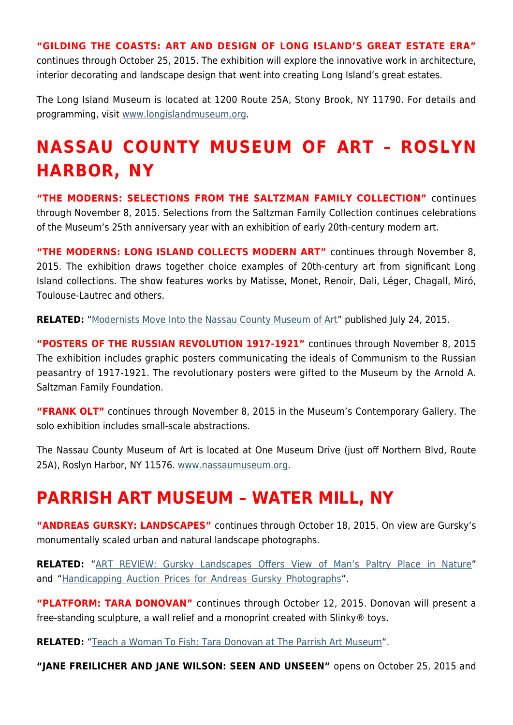**"GILDING THE COASTS: ART AND DESIGN OF LONG ISLAND'S GREAT ESTATE ERA"**

continues through October 25, 2015. The exhibition will explore the innovative work in architecture, interior decorating and landscape design that went into creating Long Island's great estates.

The Long Island Museum is located at 1200 Route 25A, Stony Brook, NY 11790. For details and programming, visit [www.longislandmuseum.org.](http://www.longislandmuseum.org)

# **NASSAU COUNTY MUSEUM OF ART – ROSLYN HARBOR, NY**

**"THE MODERNS: SELECTIONS FROM THE SALTZMAN FAMILY COLLECTION"** continues through November 8, 2015. Selections from the Saltzman Family Collection continues celebrations of the Museum's 25th anniversary year with an exhibition of early 20th-century modern art.

**"THE MODERNS: LONG ISLAND COLLECTS MODERN ART"** continues through November 8, 2015. The exhibition draws together choice examples of 20th-century art from significant Long Island collections. The show features works by Matisse, Monet, Renoir, Dali, Léger, Chagall, Miró, Toulouse-Lautrec and others.

**RELATED:** "[Modernists Move Into the Nassau County Museum of Art"](https://hamptonsarthub.com/2015/07/24/modernists-move-into-the-nassau-county-museum-of-art/) published July 24, 2015.

**"POSTERS OF THE RUSSIAN REVOLUTION 1917-1921"** continues through November 8, 2015 The exhibition includes graphic posters communicating the ideals of Communism to the Russian peasantry of 1917-1921. The revolutionary posters were gifted to the Museum by the Arnold A. Saltzman Family Foundation.

**"FRANK OLT"** continues through November 8, 2015 in the Museum's Contemporary Gallery. The solo exhibition includes small-scale abstractions.

The Nassau County Museum of Art is located at One Museum Drive (just off Northern Blvd, Route 25A), Roslyn Harbor, NY 11576. [www.nassaumuseum.org](http://www.nassaumuseum.org).

#### **PARRISH ART MUSEUM – WATER MILL, NY**

**"ANDREAS GURSKY: LANDSCAPES"** continues through October 18, 2015. On view are Gursky's monumentally scaled urban and natural landscape photographs.

**RELATED:** "[ART REVIEW: Gursky Landscapes Offers View of Man's Paltry Place in Nature"](https://hamptonsarthub.com/2015/09/14/art-review-gursky-landscapes-offers-view-of-mans-paltry-place-in-nature/) and ["Handicapping Auction Prices for Andreas Gursky Photographs](https://hamptonsarthub.com/2015/09/21/handicapping-auction-prices-for-andreas-gursky-photographs/)".

**"PLATFORM: TARA DONOVAN"** continues through October 12, 2015. Donovan will present a free-standing sculpture, a wall relief and a monoprint created with Slinky® toys.

**RELATED:** "[Teach a Woman To Fish: Tara Donovan at The Parrish Art Museum"](https://hamptonsarthub.com/2015/08/18/teach-a-woman-to-fish-tara-donovan-at-parrish-art-museum/).

**"JANE FREILICHER AND JANE WILSON: SEEN AND UNSEEN"** opens on October 25, 2015 and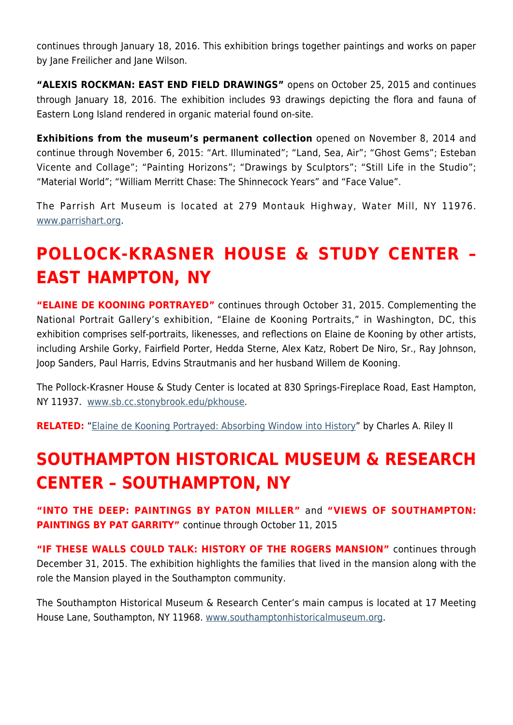continues through January 18, 2016. This exhibition brings together paintings and works on paper by Jane Freilicher and Jane Wilson.

**"ALEXIS ROCKMAN: EAST END FIELD DRAWINGS"** opens on October 25, 2015 and continues through January 18, 2016. The exhibition includes 93 drawings depicting the flora and fauna of Eastern Long Island rendered in organic material found on-site.

**Exhibitions from the museum's permanent collection** opened on November 8, 2014 and continue through November 6, 2015: "Art. Illuminated"; "Land, Sea, Air"; "Ghost Gems"; Esteban Vicente and Collage"; "Painting Horizons"; "Drawings by Sculptors"; "Still Life in the Studio"; "Material World"; "William Merritt Chase: The Shinnecock Years" and "Face Value".

The Parrish Art Museum is located at 279 Montauk Highway, Water Mill, NY 11976. [www.parrishart.org](http://www.parrishart.org).

# **POLLOCK-KRASNER HOUSE & STUDY CENTER – EAST HAMPTON, NY**

**"ELAINE DE KOONING PORTRAYED"** continues through October 31, 2015. Complementing the National Portrait Gallery's exhibition, "Elaine de Kooning Portraits," in Washington, DC, this exhibition comprises self-portraits, likenesses, and reflections on Elaine de Kooning by other artists, including Arshile Gorky, Fairfield Porter, Hedda Sterne, Alex Katz, Robert De Niro, Sr., Ray Johnson, Joop Sanders, Paul Harris, Edvins Strautmanis and her husband Willem de Kooning.

The Pollock-Krasner House & Study Center is located at 830 Springs-Fireplace Road, East Hampton, NY 11937. [www.sb.cc.stonybrook.edu/pkhouse.](http://www.sb.cc.stonybrook.edu/pkhouse)

**RELATED:** "[Elaine de Kooning Portrayed: Absorbing Window into History](https://hamptonsarthub.com/2015/08/12/elaine-de-kooning-portrayed-absorbing-window-into-history/)" by Charles A. Riley II

# **SOUTHAMPTON HISTORICAL MUSEUM & RESEARCH CENTER – SOUTHAMPTON, NY**

**"INTO THE DEEP: PAINTINGS BY PATON MILLER"** and **"VIEWS OF SOUTHAMPTON: PAINTINGS BY PAT GARRITY"** continue through October 11, 2015

**"IF THESE WALLS COULD TALK: HISTORY OF THE ROGERS MANSION"** continues through December 31, 2015. The exhibition highlights the families that lived in the mansion along with the role the Mansion played in the Southampton community.

The Southampton Historical Museum & Research Center's main campus is located at 17 Meeting House Lane, Southampton, NY 11968. [www.southamptonhistoricalmuseum.org](http://www.southamptonhistoricalmuseum.org).